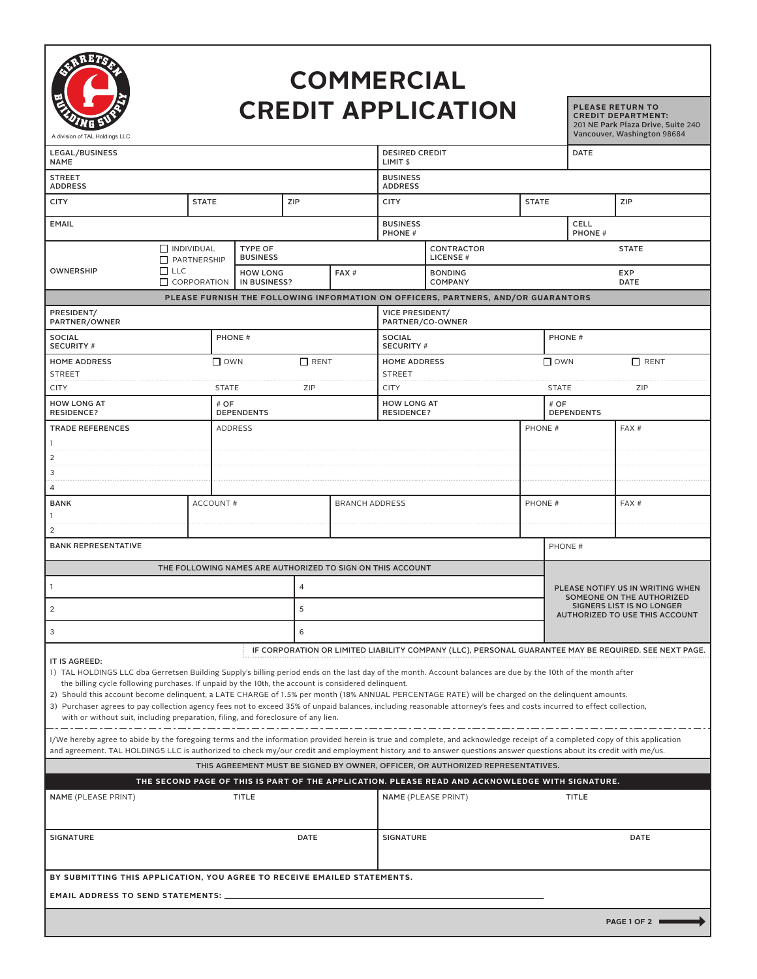

## **COMMERCIAL CREDIT APPLICATION**

**PLEASE RETURN TO CREDIT DEPARTMENT:**  201 NE Park Plaza Drive, Suite 240

| A division of TAL Holdings LLC                                                                                                                                                                                                                                                                                                                                                                                                                                                                                                                                                                                                                                                                           |                |                                                            |   |                       |                                                                                   |                                              |                                                                                                 |               |                                                                                                        |                              | Vancouver, Washington 98684                                                                           |  |
|----------------------------------------------------------------------------------------------------------------------------------------------------------------------------------------------------------------------------------------------------------------------------------------------------------------------------------------------------------------------------------------------------------------------------------------------------------------------------------------------------------------------------------------------------------------------------------------------------------------------------------------------------------------------------------------------------------|----------------|------------------------------------------------------------|---|-----------------------|-----------------------------------------------------------------------------------|----------------------------------------------|-------------------------------------------------------------------------------------------------|---------------|--------------------------------------------------------------------------------------------------------|------------------------------|-------------------------------------------------------------------------------------------------------|--|
| LEGAL/BUSINESS<br><b>NAME</b>                                                                                                                                                                                                                                                                                                                                                                                                                                                                                                                                                                                                                                                                            |                |                                                            |   |                       |                                                                                   | <b>DESIRED CREDIT</b><br>LIMIT <sub>\$</sub> |                                                                                                 |               |                                                                                                        | <b>DATE</b>                  |                                                                                                       |  |
| STREET<br><b>ADDRESS</b>                                                                                                                                                                                                                                                                                                                                                                                                                                                                                                                                                                                                                                                                                 |                |                                                            |   |                       |                                                                                   | <b>BUSINESS</b><br><b>ADDRESS</b>            |                                                                                                 |               |                                                                                                        |                              |                                                                                                       |  |
| CITY                                                                                                                                                                                                                                                                                                                                                                                                                                                                                                                                                                                                                                                                                                     | <b>STATE</b>   | ZIP                                                        |   |                       | <b>CITY</b>                                                                       |                                              | <b>STATE</b>                                                                                    |               |                                                                                                        | ZIP                          |                                                                                                       |  |
| EMAIL                                                                                                                                                                                                                                                                                                                                                                                                                                                                                                                                                                                                                                                                                                    |                |                                                            |   |                       | <b>BUSINESS</b><br>PHONE #                                                        |                                              |                                                                                                 |               |                                                                                                        | <b>CELL</b><br><b>PHONE#</b> |                                                                                                       |  |
| $\Box$ INDIVIDUAL                                                                                                                                                                                                                                                                                                                                                                                                                                                                                                                                                                                                                                                                                        |                | <b>TYPE OF</b><br><b>BUSINESS</b>                          |   |                       | <b>CONTRACTOR</b><br><b>LICENSE#</b>                                              |                                              |                                                                                                 |               | <b>STATE</b>                                                                                           |                              |                                                                                                       |  |
| $\square$ LLC<br>OWNERSHIP                                                                                                                                                                                                                                                                                                                                                                                                                                                                                                                                                                                                                                                                               | PARTNERSHIP    | <b>HOW LONG</b>                                            |   | FAX#                  | <b>BONDING</b><br><b>COMPANY</b>                                                  |                                              |                                                                                                 |               |                                                                                                        |                              | <b>EXP</b>                                                                                            |  |
| $\Box$ CORPORATION                                                                                                                                                                                                                                                                                                                                                                                                                                                                                                                                                                                                                                                                                       |                | IN BUSINESS?                                               |   |                       | PLEASE FURNISH THE FOLLOWING INFORMATION ON OFFICERS, PARTNERS, AND/OR GUARANTORS |                                              |                                                                                                 |               |                                                                                                        | DATE                         |                                                                                                       |  |
| PRESIDENT/                                                                                                                                                                                                                                                                                                                                                                                                                                                                                                                                                                                                                                                                                               |                |                                                            |   |                       | <b>VICE PRESIDENT/</b>                                                            |                                              |                                                                                                 |               |                                                                                                        |                              |                                                                                                       |  |
| PARTNER/OWNER                                                                                                                                                                                                                                                                                                                                                                                                                                                                                                                                                                                                                                                                                            |                |                                                            |   | PARTNER/CO-OWNER      |                                                                                   |                                              |                                                                                                 |               |                                                                                                        |                              |                                                                                                       |  |
| SOCIAL<br><b>SECURITY #</b>                                                                                                                                                                                                                                                                                                                                                                                                                                                                                                                                                                                                                                                                              |                | PHONE #                                                    |   |                       | <b>SOCIAL</b><br><b>SECURITY#</b>                                                 |                                              |                                                                                                 | <b>PHONE#</b> |                                                                                                        |                              |                                                                                                       |  |
| <b>HOME ADDRESS</b><br>STREET                                                                                                                                                                                                                                                                                                                                                                                                                                                                                                                                                                                                                                                                            |                | $\square$ own<br>$\Box$ RENT                               |   |                       | <b>HOME ADDRESS</b><br><b>STREET</b>                                              |                                              |                                                                                                 |               | $\square$ own<br>$\Box$ RENT                                                                           |                              |                                                                                                       |  |
| CITY                                                                                                                                                                                                                                                                                                                                                                                                                                                                                                                                                                                                                                                                                                     |                | ZIP<br><b>STATE</b>                                        |   |                       |                                                                                   | <b>CITY</b>                                  |                                                                                                 |               |                                                                                                        | <b>STATE</b><br>ZIP          |                                                                                                       |  |
| <b>HOW LONG AT</b><br><b>RESIDENCE?</b>                                                                                                                                                                                                                                                                                                                                                                                                                                                                                                                                                                                                                                                                  | # OF           | <b>DEPENDENTS</b>                                          |   |                       | <b>HOW LONG AT</b><br><b>RESIDENCE?</b>                                           |                                              |                                                                                                 |               | # OF<br><b>DEPENDENTS</b>                                                                              |                              |                                                                                                       |  |
| <b>TRADE REFERENCES</b>                                                                                                                                                                                                                                                                                                                                                                                                                                                                                                                                                                                                                                                                                  | <b>ADDRESS</b> |                                                            |   |                       |                                                                                   |                                              |                                                                                                 | PHONE #       |                                                                                                        |                              | FAX#                                                                                                  |  |
|                                                                                                                                                                                                                                                                                                                                                                                                                                                                                                                                                                                                                                                                                                          |                |                                                            |   |                       |                                                                                   |                                              |                                                                                                 |               |                                                                                                        |                              |                                                                                                       |  |
| 2                                                                                                                                                                                                                                                                                                                                                                                                                                                                                                                                                                                                                                                                                                        |                |                                                            |   |                       |                                                                                   |                                              |                                                                                                 |               |                                                                                                        |                              |                                                                                                       |  |
| 3                                                                                                                                                                                                                                                                                                                                                                                                                                                                                                                                                                                                                                                                                                        |                |                                                            |   |                       |                                                                                   |                                              |                                                                                                 |               |                                                                                                        |                              |                                                                                                       |  |
| 4                                                                                                                                                                                                                                                                                                                                                                                                                                                                                                                                                                                                                                                                                                        |                |                                                            |   |                       |                                                                                   |                                              |                                                                                                 |               |                                                                                                        |                              |                                                                                                       |  |
| BANK                                                                                                                                                                                                                                                                                                                                                                                                                                                                                                                                                                                                                                                                                                     |                | <b>ACCOUNT#</b>                                            |   | <b>BRANCH ADDRESS</b> |                                                                                   |                                              |                                                                                                 | PHONE #       |                                                                                                        |                              | FAX#                                                                                                  |  |
|                                                                                                                                                                                                                                                                                                                                                                                                                                                                                                                                                                                                                                                                                                          |                |                                                            |   |                       |                                                                                   |                                              |                                                                                                 |               |                                                                                                        |                              |                                                                                                       |  |
| <b>BANK REPRESENTATIVE</b>                                                                                                                                                                                                                                                                                                                                                                                                                                                                                                                                                                                                                                                                               |                |                                                            |   |                       |                                                                                   |                                              |                                                                                                 |               |                                                                                                        | PHONE #                      |                                                                                                       |  |
|                                                                                                                                                                                                                                                                                                                                                                                                                                                                                                                                                                                                                                                                                                          |                | THE FOLLOWING NAMES ARE AUTHORIZED TO SIGN ON THIS ACCOUNT |   |                       |                                                                                   |                                              |                                                                                                 |               |                                                                                                        |                              |                                                                                                       |  |
| 4                                                                                                                                                                                                                                                                                                                                                                                                                                                                                                                                                                                                                                                                                                        |                |                                                            |   |                       |                                                                                   |                                              |                                                                                                 |               | PLEASE NOTIFY US IN WRITING WHEN                                                                       |                              |                                                                                                       |  |
| 2                                                                                                                                                                                                                                                                                                                                                                                                                                                                                                                                                                                                                                                                                                        |                |                                                            | 5 |                       |                                                                                   |                                              |                                                                                                 |               | SOMEONE ON THE AUTHORIZED<br><b>SIGNERS LIST IS NO LONGER</b><br><b>AUTHORIZED TO USE THIS ACCOUNT</b> |                              |                                                                                                       |  |
| 3                                                                                                                                                                                                                                                                                                                                                                                                                                                                                                                                                                                                                                                                                                        |                | 6                                                          |   |                       |                                                                                   |                                              |                                                                                                 |               |                                                                                                        |                              |                                                                                                       |  |
|                                                                                                                                                                                                                                                                                                                                                                                                                                                                                                                                                                                                                                                                                                          |                |                                                            |   |                       |                                                                                   |                                              |                                                                                                 |               |                                                                                                        |                              | IF CORPORATION OR LIMITED LIABILITY COMPANY (LLC), PERSONAL GUARANTEE MAY BE REQUIRED. SEE NEXT PAGE. |  |
| IT IS AGREED:<br>1) TAL HOLDINGS LLC dba Gerretsen Building Supply's billing period ends on the last day of the month. Account balances are due by the 10th of the month after<br>the billing cycle following purchases. If unpaid by the 10th, the account is considered delinquent.<br>2) Should this account become delinquent, a LATE CHARGE of 1.5% per month (18% ANNUAL PERCENTAGE RATE) will be charged on the delinquent amounts.<br>3) Purchaser agrees to pay collection agency fees not to exceed 35% of unpaid balances, including reasonable attorney's fees and costs incurred to effect collection,<br>with or without suit, including preparation, filing, and foreclosure of any lien. |                |                                                            |   |                       |                                                                                   |                                              |                                                                                                 |               |                                                                                                        |                              |                                                                                                       |  |
| I/We hereby agree to abide by the foregoing terms and the information provided herein is true and complete, and acknowledge receipt of a completed copy of this application<br>and agreement. TAL HOLDINGS LLC is authorized to check my/our credit and employment history and to answer questions answer questions about its credit with me/us.                                                                                                                                                                                                                                                                                                                                                         |                |                                                            |   |                       |                                                                                   |                                              |                                                                                                 |               |                                                                                                        |                              |                                                                                                       |  |
|                                                                                                                                                                                                                                                                                                                                                                                                                                                                                                                                                                                                                                                                                                          |                |                                                            |   |                       |                                                                                   |                                              | THIS AGREEMENT MUST BE SIGNED BY OWNER, OFFICER, OR AUTHORIZED REPRESENTATIVES.                 |               |                                                                                                        |                              |                                                                                                       |  |
|                                                                                                                                                                                                                                                                                                                                                                                                                                                                                                                                                                                                                                                                                                          |                |                                                            |   |                       |                                                                                   |                                              | THE SECOND PAGE OF THIS IS PART OF THE APPLICATION. PLEASE READ AND ACKNOWLEDGE WITH SIGNATURE. |               |                                                                                                        |                              |                                                                                                       |  |
| NAME (PLEASE PRINT)<br>TITLE                                                                                                                                                                                                                                                                                                                                                                                                                                                                                                                                                                                                                                                                             |                |                                                            |   |                       | NAME (PLEASE PRINT)                                                               |                                              |                                                                                                 |               | <b>TITLE</b>                                                                                           |                              |                                                                                                       |  |
| SIGNATURE<br>DATE                                                                                                                                                                                                                                                                                                                                                                                                                                                                                                                                                                                                                                                                                        |                |                                                            |   |                       | <b>SIGNATURE</b>                                                                  |                                              |                                                                                                 |               |                                                                                                        | DATE                         |                                                                                                       |  |
| BY SUBMITTING THIS APPLICATION, YOU AGREE TO RECEIVE EMAILED STATEMENTS.                                                                                                                                                                                                                                                                                                                                                                                                                                                                                                                                                                                                                                 |                |                                                            |   |                       |                                                                                   |                                              |                                                                                                 |               |                                                                                                        |                              |                                                                                                       |  |
|                                                                                                                                                                                                                                                                                                                                                                                                                                                                                                                                                                                                                                                                                                          |                |                                                            |   |                       |                                                                                   |                                              |                                                                                                 |               |                                                                                                        |                              | PAGE 1 OF 2                                                                                           |  |